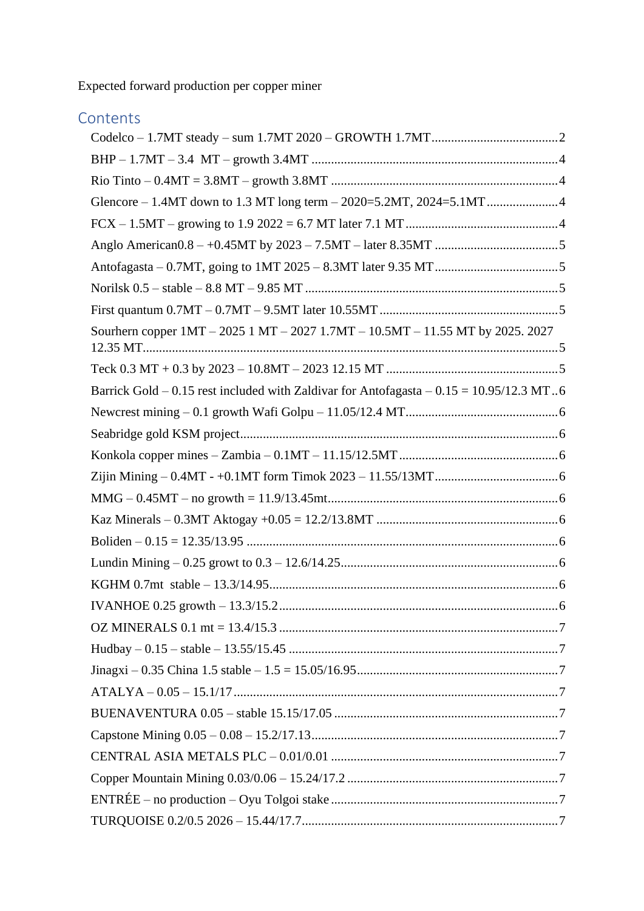Expected forward production per copper miner

# **Contents**

| Sourhern copper 1MT – 2025 1 MT – 2027 1.7MT – 10.5MT – 11.55 MT by 2025. 2027            |  |
|-------------------------------------------------------------------------------------------|--|
|                                                                                           |  |
| Barrick Gold - 0.15 rest included with Zaldivar for Antofagasta - $0.15 = 10.95/12.3$ MT6 |  |
|                                                                                           |  |
|                                                                                           |  |
|                                                                                           |  |
|                                                                                           |  |
|                                                                                           |  |
|                                                                                           |  |
|                                                                                           |  |
|                                                                                           |  |
|                                                                                           |  |
|                                                                                           |  |
|                                                                                           |  |
|                                                                                           |  |
|                                                                                           |  |
|                                                                                           |  |
|                                                                                           |  |
|                                                                                           |  |
|                                                                                           |  |
|                                                                                           |  |
|                                                                                           |  |
|                                                                                           |  |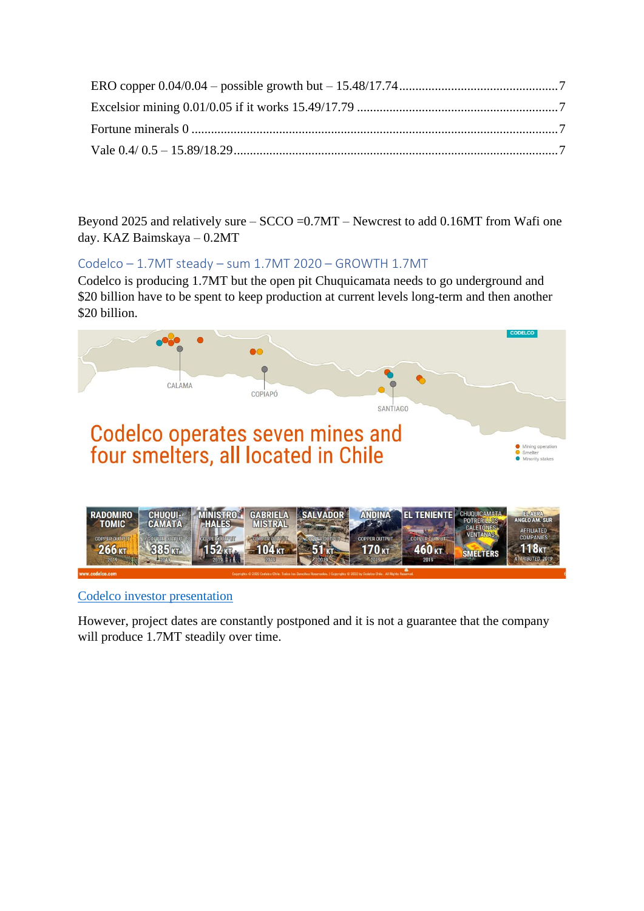Beyond 2025 and relatively sure – SCCO =0.7MT – Newcrest to add 0.16MT from Wafi one day. KAZ Baimskaya – 0.2MT

## <span id="page-1-0"></span>Codelco – 1.7MT steady – sum 1.7MT 2020 – GROWTH 1.7MT

Codelco is producing 1.7MT but the open pit Chuquicamata needs to go underground and \$20 billion have to be spent to keep production at current levels long-term and then another \$20 billion.



[Codelco investor presentation](https://www.codelco.com/prontus_codelco/site/artic/20171010/asocfile/20171010090846/corporate_presentation_september2020.pdf)

However, project dates are constantly postponed and it is not a guarantee that the company will produce 1.7MT steadily over time.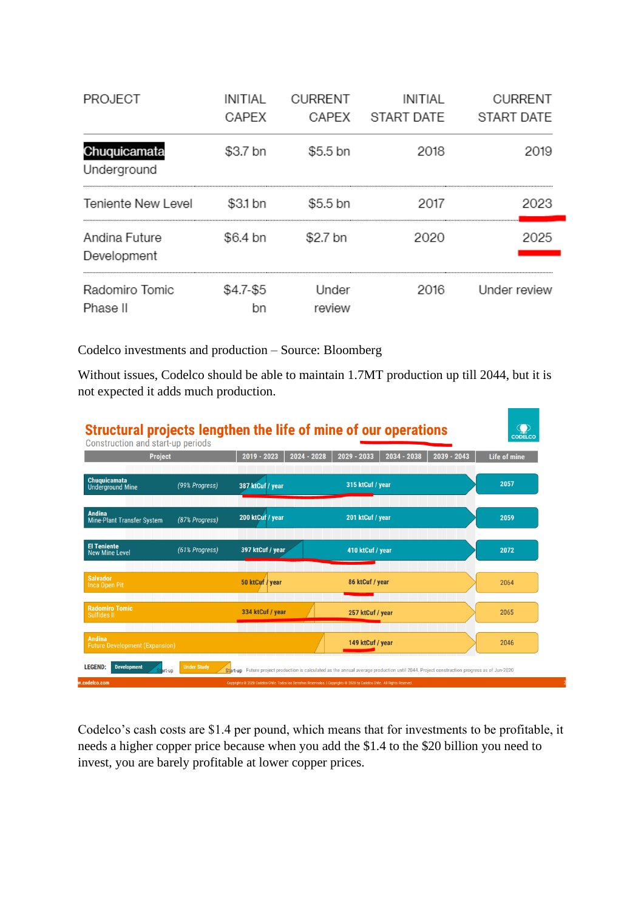| PROJECT                      | INITIAL   | <b>CURRENT</b>  | <b>INITIAL</b>   | <b>CURRENT</b> |
|------------------------------|-----------|-----------------|------------------|----------------|
|                              | CAPEX     |                 | CAPEX START DATE | START DATE     |
| Chuquicamata<br>Underground  | \$3.7 bn  | \$5.5 bn        | 2018             | 2019           |
| Teniente New Level           | \$3.1 bn  | \$5.5 bn        | 2017             | 2023           |
| Andina Future<br>Development | \$6.4 bn  | \$2.7 bn        | 2020             | ンハント           |
| Radomiro Tomic<br>Phase II   | \$4.7-\$5 | Under<br>review | 2016             | Under review   |

Codelco investments and production – Source: Bloomberg

Without issues, Codelco should be able to maintain 1.7MT production up till 2044, but it is not expected it adds much production.



Codelco's cash costs are \$1.4 per pound, which means that for investments to be profitable, it needs a higher copper price because when you add the \$1.4 to the \$20 billion you need to invest, you are barely profitable at lower copper prices.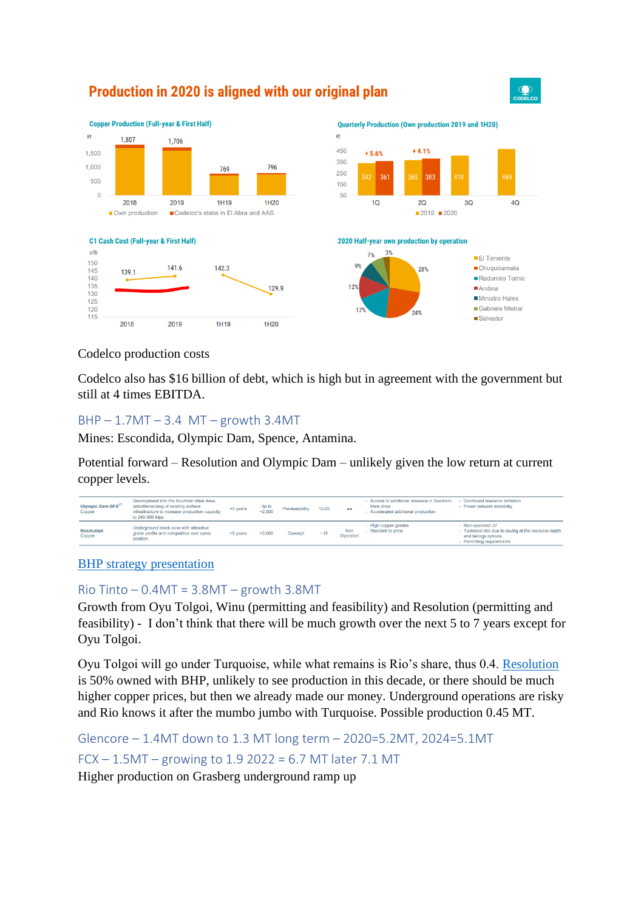

 $\mathbf{Q}$ 

 $4O$ 

## Production in 2020 is aligned with our original plan

Codelco production costs

Codelco also has \$16 billion of debt, which is high but in agreement with the government but still at 4 times EBITDA.

#### <span id="page-3-0"></span> $BHP - 1.7MT - 3.4 MT - growth 3.4MT$

Mines: Escondida, Olympic Dam, Spence, Antamina.

Potential forward – Resolution and Olympic Dam – unlikely given the low return at current copper levels.

| Olympic Dam BFX <sup>17</sup><br>Copper | Development into the Southern Mine Area,<br>debottlenecking of existing surface<br>infrastructure to increase production capacity<br>to 240-300 ktpa | <5 years | Up to<br>$-2.500$ | Pre-feasibility | $12 - 25$ | $\bullet \bullet$      | - Access to additional resource in Southern<br>Mine Area<br>- Accelerated additional production | - Continued resource definition<br>- Power network instability                                                                 |
|-----------------------------------------|------------------------------------------------------------------------------------------------------------------------------------------------------|----------|-------------------|-----------------|-----------|------------------------|-------------------------------------------------------------------------------------------------|--------------------------------------------------------------------------------------------------------------------------------|
| <b>Resolution</b><br>Copper             | Underground block cave with attractive<br>grade profile and competitive cost curve<br>position                                                       | >5 years | < 3.000           | Concept         | ~15       | <b>Non</b><br>Operated | - High copper grades<br>- Resilient to price                                                    | - Non-operated JV<br>- Technical risk due to caving at the resource depth<br>and tailings options<br>- Permitting requirements |

[BHP strategy presentation](https://www.bhp.com/-/media/documents/media/reports-and-presentations/2019/190522_strategybriefing.pdf?la=en)

#### <span id="page-3-1"></span> $Rio$  Tinto  $-0.4$ MT = 3.8MT  $-$  growth 3.8MT

Growth from Oyu Tolgoi, Winu (permitting and feasibility) and Resolution (permitting and feasibility) - I don't think that there will be much growth over the next 5 to 7 years except for Oyu Tolgoi.

Oyu Tolgoi will go under Turquoise, while what remains is Rio's share, thus 0.4. [Resolution](https://resolutioncopper.com/) is 50% owned with BHP, unlikely to see production in this decade, or there should be much higher copper prices, but then we already made our money. Underground operations are risky and Rio knows it after the mumbo jumbo with Turquoise. Possible production 0.45 MT.

<span id="page-3-3"></span><span id="page-3-2"></span>Glencore – 1.4MT down to 1.3 MT long term – 2020=5.2MT, 2024=5.1MT FCX – 1.5MT – growing to 1.9 2022 = 6.7 MT later 7.1 MT

Higher production on Grasberg underground ramp up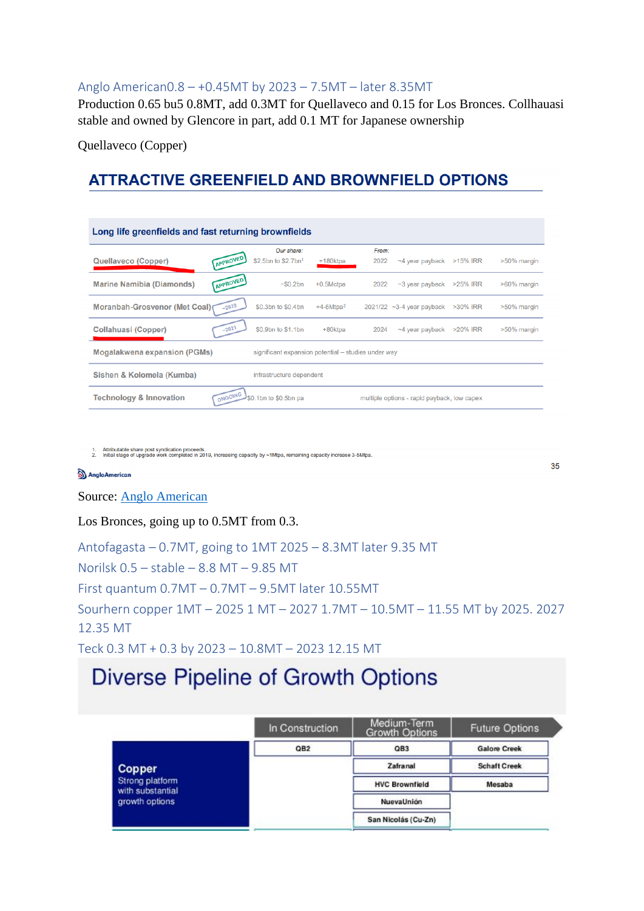#### <span id="page-4-0"></span>Anglo American0.8 – +0.45MT by 2023 – 7.5MT – later 8.35MT

Production 0.65 bu5 0.8MT, add 0.3MT for Quellaveco and 0.15 for Los Bronces. Collhauasi stable and owned by Glencore in part, add 0.1 MT for Japanese ownership

Quellaveco (Copper)

# **ATTRACTIVE GREENFIELD AND BROWNFIELD OPTIONS**

|                                      |            | Our share:                                          |              | From: |                                             |          |             |
|--------------------------------------|------------|-----------------------------------------------------|--------------|-------|---------------------------------------------|----------|-------------|
| Quellaveco (Copper)                  | (APPROVED) | \$2.5bn to \$2.7bn <sup>1</sup>                     | +180ktpa     | 2022  | $\sim$ 4 year payback >15% IRR              |          | >50% margin |
| <b>Marine Namibia (Diamonds)</b>     | (APPROVED) | ~50.2 <sub>bn</sub>                                 | $+0.5$ Mctpa | 2022  | $\sim$ 3 year payback                       | >25% IRR | >60% margin |
| <b>Moranbah-Grosvenor (Met Coal)</b> | $-2020$    | \$0.3bn to \$0.4bn                                  | $+4-6Mtpa^2$ |       | 2021/22 ~3-4 year payback >30% IRR          |          | >50% margin |
| Collahuasi (Copper)                  | $-2021$    | \$0.9bn to \$1.1bn                                  | +80ktpa      | 2024  | $\sim$ 4 year payback $>$ 20% IRR           |          | >50% margin |
| <b>Mogalakwena expansion (PGMs)</b>  |            | significant expansion potential - studies under way |              |       |                                             |          |             |
| Sishen & Kolomela (Kumba)            |            | infrastructure dependent                            |              |       |                                             |          |             |
| <b>Technology &amp; Innovation</b>   | ONGOING    | \$0.1bn to \$0.5bn pa                               |              |       | multiple options - rapid payback, low capex |          |             |

1. Attributable share post syndication proceeds.<br>2. Initial stage of upgrade work completed in 2019, increasing capacity by ∼1Mtpa, remaining capacity increase 3-5Mtpa

#### AngloAmerican

#### Source: [Anglo American](https://www.angloamerican.com/~/media/Files/A/Anglo-American-Group/PLC/media/presentations/2020pres/investor-presentation-at-the-exane-15th-basic-materials-virtual-conference.pdf)

Los Bronces, going up to 0.5MT from 0.3.

<span id="page-4-4"></span><span id="page-4-3"></span><span id="page-4-2"></span><span id="page-4-1"></span>Antofagasta – 0.7MT, going to 1MT 2025 – 8.3MT later 9.35 MT Norilsk 0.5 – stable – 8.8 MT – 9.85 MT First quantum 0.7MT – 0.7MT – 9.5MT later 10.55MT Sourhern copper 1MT – 2025 1 MT – 2027 1.7MT – 10.5MT – 11.55 MT by 2025. 2027 12.35 MT Teck 0.3 MT + 0.3 by 2023 – 10.8MT – 2023 12.15 MT

35

# <span id="page-4-5"></span>Diverse Pipeline of Growth Options

|                                     | In Construction | Medium-Term<br>Growth Options | <b>Future Options</b> |
|-------------------------------------|-----------------|-------------------------------|-----------------------|
|                                     | QB <sub>2</sub> | QB <sub>3</sub>               | <b>Galore Creek</b>   |
| <b>Copper</b>                       |                 | Zafranal                      | <b>Schaft Creek</b>   |
| Strong platform<br>with substantial |                 | <b>HVC Brownfield</b>         | Mesaba                |
| growth options                      |                 | NuevaUnión                    |                       |
|                                     |                 | San Nicolás (Cu-Zn)           |                       |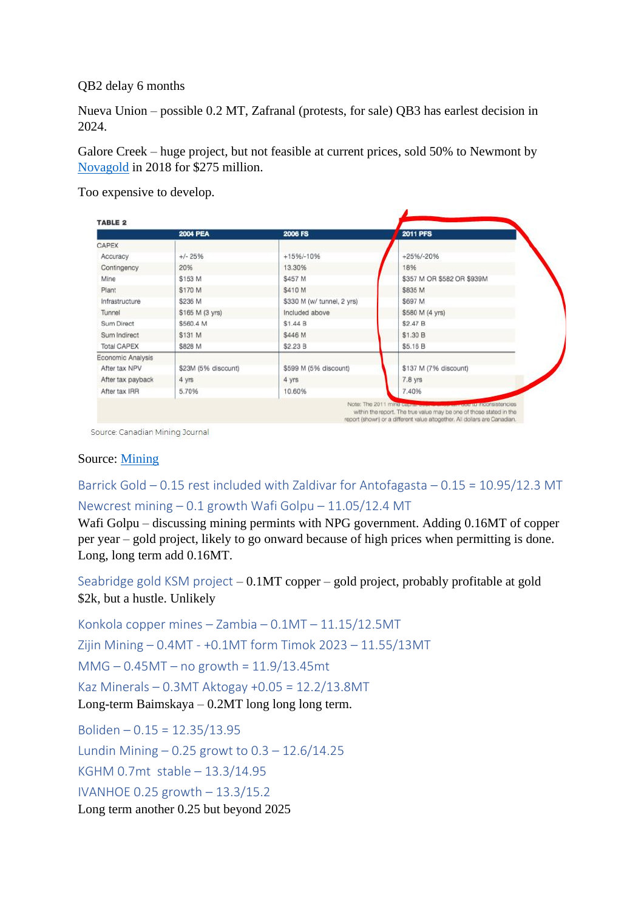QB2 delay 6 months

Nueva Union – possible 0.2 MT, Zafranal (protests, for sale) QB3 has earlest decision in 2024.

Galore Creek – huge project, but not feasible at current prices, sold 50% to Newmont by [Novagold](https://www.novagold.com/investors/galore_creek_transaction/) in 2018 for \$275 million.

Too expensive to develop.

|                   | <b>2004 PEA</b>     | <b>2006 FS</b>             | <b>2011 PFS</b>            |
|-------------------|---------------------|----------------------------|----------------------------|
| CAPEX             |                     |                            |                            |
| Accuracy          | $+/- 25%$           | $+15%/-10%$                | $+25\%/ -20\%$             |
| Contingency       | 20%                 | 13.30%                     | 18%                        |
| Mine              | \$153 M             | \$457 M                    | \$357 M OR \$582 OR \$939M |
| Plant             | \$170 M             | \$410 M                    | \$835 M                    |
| Infrastructure    | \$236 M             | \$330 M (w/ tunnel, 2 yrs) | \$697 M                    |
| Tunnel            | \$165 M (3 yrs)     | Included above             | \$580 M (4 yrs)            |
| Sum Direct        | \$560.4 M           | \$1.44 B                   | \$2.47 B                   |
| Sum Indirect      | \$131 M             | \$446 M                    | \$1.30 B                   |
| Total CAPEX       | \$828 M             | \$2.23 B                   | \$5.16 B                   |
| Economic Analysis |                     |                            |                            |
| After tax NPV     | \$23M (5% discount) | \$599 M (5% discount)      | \$137 M (7% discount)      |
| After tax payback | 4 yrs               | 4 yrs                      | 7.8 yrs                    |
| After tax IRR     | 5.70%               | 10.60%                     | 7.40%                      |

Source: Canadian Mining Journal

### Source: [Mining](https://www.mining.com/exploding-costs-an-analysis-of-galore-creek/)

<span id="page-5-1"></span><span id="page-5-0"></span>Barrick Gold – 0.15 rest included with Zaldivar for Antofagasta – 0.15 = 10.95/12.3 MT Newcrest mining – 0.1 growth Wafi Golpu – 11.05/12.4 MT

Wafi Golpu – discussing mining permints with NPG government. Adding 0.16MT of copper per year – gold project, likely to go onward because of high prices when permitting is done. Long, long term add 0.16MT.

<span id="page-5-2"></span>Seabridge gold KSM project – 0.1MT copper – gold project, probably profitable at gold \$2k, but a hustle. Unlikely

<span id="page-5-5"></span><span id="page-5-4"></span><span id="page-5-3"></span>Konkola copper mines – Zambia – 0.1MT – 11.15/12.5MT Zijin Mining – 0.4MT - +0.1MT form Timok 2023 – 11.55/13MT MMG – 0.45MT – no growth = 11.9/13.45mt Kaz Minerals – 0.3MT Aktogay +0.05 = 12.2/13.8MT Long-term Baimskaya – 0.2MT long long long term.

<span id="page-5-10"></span><span id="page-5-9"></span><span id="page-5-8"></span><span id="page-5-7"></span><span id="page-5-6"></span>Boliden – 0.15 = 12.35/13.95 Lundin Mining – 0.25 growt to 0.3 – 12.6/14.25 KGHM 0.7mt stable – 13.3/14.95 IVANHOE 0.25 growth – 13.3/15.2 Long term another 0.25 but beyond 2025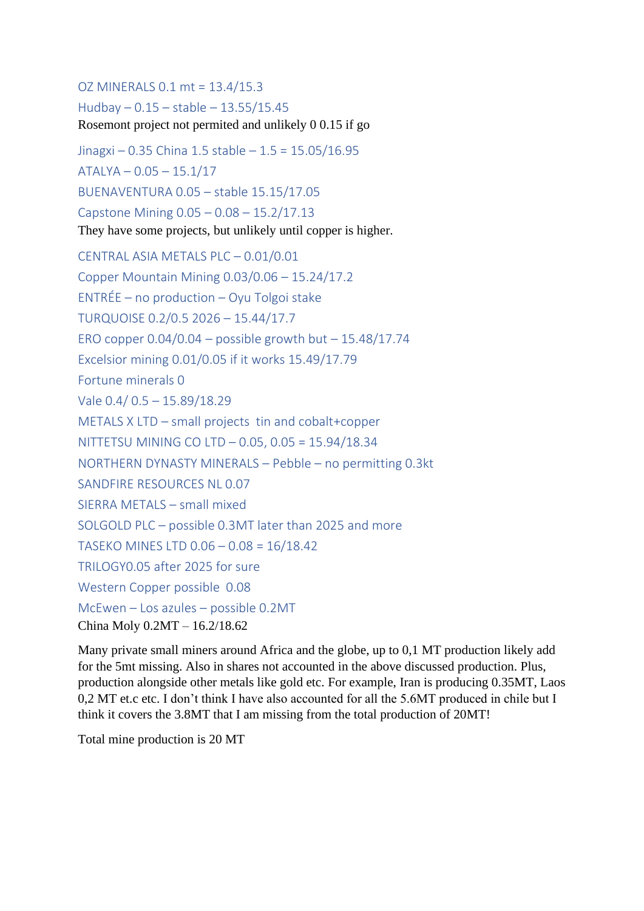<span id="page-6-1"></span><span id="page-6-0"></span>OZ MINERALS 0.1 mt = 13.4/15.3 Hudbay – 0.15 – stable – 13.55/15.45 Rosemont project not permited and unlikely 0 0.15 if go

<span id="page-6-4"></span><span id="page-6-3"></span><span id="page-6-2"></span>Jinagxi – 0.35 China 1.5 stable – 1.5 = 15.05/16.95 ATALYA – 0.05 – 15.1/17 BUENAVENTURA 0.05 – stable 15.15/17.05 Capstone Mining 0.05 – 0.08 – 15.2/17.13 They have some projects, but unlikely until copper is higher.

<span id="page-6-13"></span><span id="page-6-12"></span><span id="page-6-11"></span><span id="page-6-10"></span><span id="page-6-9"></span><span id="page-6-8"></span><span id="page-6-7"></span><span id="page-6-6"></span><span id="page-6-5"></span>CENTRAL ASIA METALS PLC – 0.01/0.01 Copper Mountain Mining 0.03/0.06 – 15.24/17.2 ENTRÉE – no production – Oyu Tolgoi stake TURQUOISE 0.2/0.5 2026 – 15.44/17.7 ERO copper  $0.04/0.04 -$  possible growth but  $-15.48/17.74$ Excelsior mining 0.01/0.05 if it works 15.49/17.79 Fortune minerals 0 Vale 0.4/ 0.5 – 15.89/18.29 METALS X LTD – small projects tin and cobalt+copper NITTETSU MINING CO LTD – 0.05, 0.05 = 15.94/18.34 NORTHERN DYNASTY MINERALS – Pebble – no permitting 0.3kt SANDFIRE RESOURCES NL 0.07 SIERRA METALS – small mixed SOLGOLD PLC – possible 0.3MT later than 2025 and more TASEKO MINES LTD 0.06 – 0.08 = 16/18.42 TRILOGY0.05 after 2025 for sure Western Copper possible 0.08 McEwen – Los azules – possible 0.2MT China Moly 0.2MT – 16.2/18.62

Many private small miners around Africa and the globe, up to 0,1 MT production likely add for the 5mt missing. Also in shares not accounted in the above discussed production. Plus, production alongside other metals like gold etc. For example, Iran is producing 0.35MT, Laos 0,2 MT et.c etc. I don't think I have also accounted for all the 5.6MT produced in chile but I think it covers the 3.8MT that I am missing from the total production of 20MT!

Total mine production is 20 MT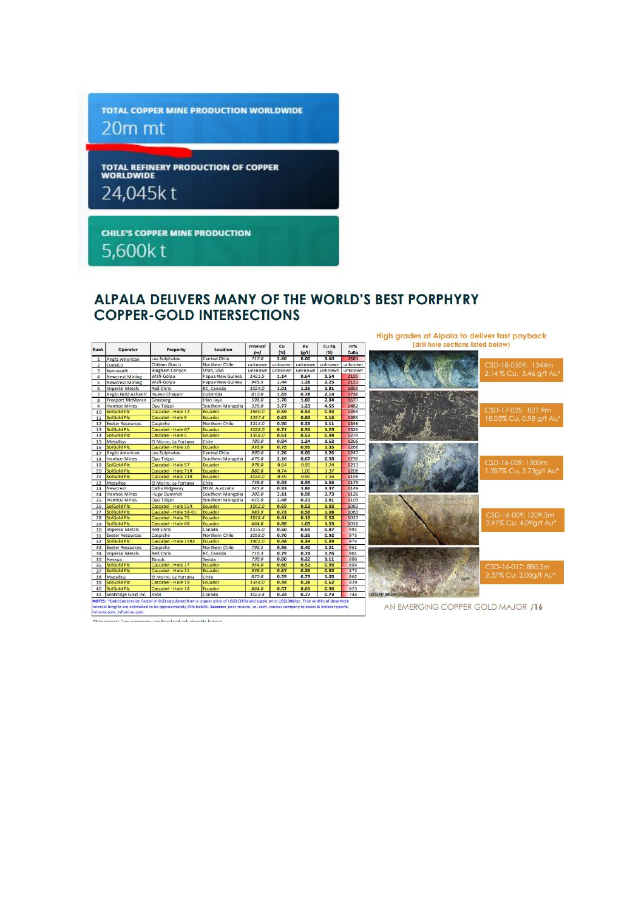**TOTAL COPPER MINE PRODUCTION WORLDWIDE** 20m mt

**TOTAL REFINERY PRODUCTION OF COPPER**<br>WORLDWIDE

24,045kt

**CHILE'S COPPER MINE PRODUCTION** 

5,600kt

## ALPALA DELIVERS MANY OF THE WORLD'S BEST PORPHYRY **COPPER-GOLD INTERSECTIONS**